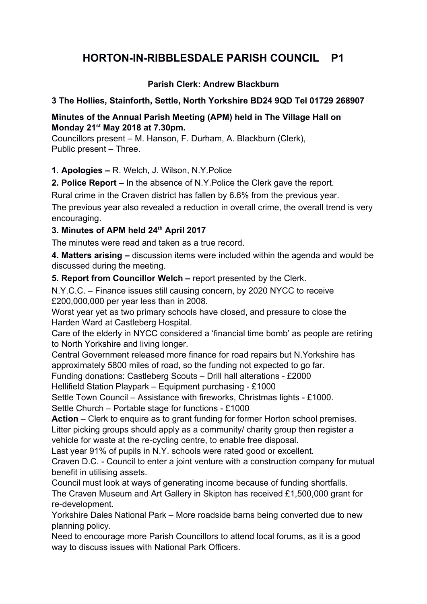# **HORTON-IN-RIBBLESDALE PARISH COUNCIL P1**

## **Parish Clerk: Andrew Blackburn**

#### **3 The Hollies, Stainforth, Settle, North Yorkshire BD24 9QD Tel 01729 268907**

#### **Minutes of the Annual Parish Meeting (APM) held in The Village Hall on Monday 21st May 2018 at 7.30pm.**

Councillors present – M. Hanson, F. Durham, A. Blackburn (Clerk), Public present – Three.

**1**. **Apologies –** R. Welch, J. Wilson, N.Y.Police

**2. Police Report –** In the absence of N.Y.Police the Clerk gave the report.

Rural crime in the Craven district has fallen by 6.6% from the previous year.

The previous year also revealed a reduction in overall crime, the overall trend is very encouraging.

#### **3. Minutes of APM held 24th April 2017**

The minutes were read and taken as a true record.

**4. Matters arising –** discussion items were included within the agenda and would be discussed during the meeting.

**5. Report from Councillor Welch –** report presented by the Clerk.

N.Y.C.C. – Finance issues still causing concern, by 2020 NYCC to receive £200,000,000 per year less than in 2008.

Worst year yet as two primary schools have closed, and pressure to close the Harden Ward at Castleberg Hospital.

Care of the elderly in NYCC considered a 'financial time bomb' as people are retiring to North Yorkshire and living longer.

Central Government released more finance for road repairs but N.Yorkshire has approximately 5800 miles of road, so the funding not expected to go far.

Funding donations: Castleberg Scouts – Drill hall alterations - £2000

Hellifield Station Playpark – Equipment purchasing - £1000

Settle Town Council – Assistance with fireworks, Christmas lights - £1000.

Settle Church – Portable stage for functions - £1000

**Action** – Clerk to enquire as to grant funding for former Horton school premises. Litter picking groups should apply as a community/ charity group then register a vehicle for waste at the re-cycling centre, to enable free disposal.

Last year 91% of pupils in N.Y. schools were rated good or excellent.

Craven D.C. - Council to enter a joint venture with a construction company for mutual benefit in utilising assets.

Council must look at ways of generating income because of funding shortfalls. The Craven Museum and Art Gallery in Skipton has received £1,500,000 grant for re-development.

Yorkshire Dales National Park – More roadside barns being converted due to new planning policy.

Need to encourage more Parish Councillors to attend local forums, as it is a good way to discuss issues with National Park Officers.